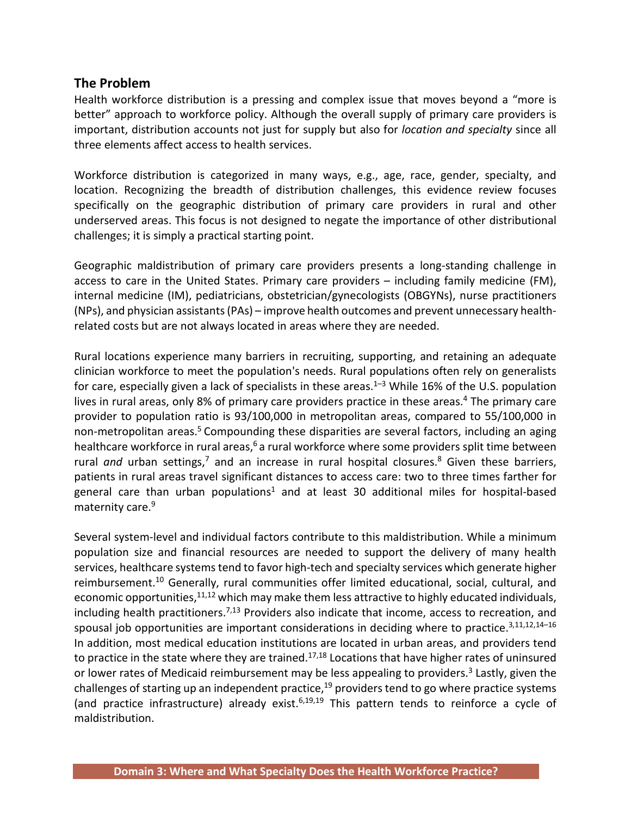#### **The Problem**

Health workforce distribution is a pressing and complex issue that moves beyond a "more is better" approach to workforce policy. Although the overall supply of primary care providers is important, distribution accounts not just for supply but also for *location and specialty* since all three elements affect access to health services.

Workforce distribution is categorized in many ways, e.g., age, race, gender, specialty, and location. Recognizing the breadth of distribution challenges, this evidence review focuses specifically on the geographic distribution of primary care providers in rural and other underserved areas. This focus is not designed to negate the importance of other distributional challenges; it is simply a practical starting point.

Geographic maldistribution of primary care providers presents a long-standing challenge in access to care in the United States. Primary care providers – including family medicine (FM), internal medicine (IM), pediatricians, obstetrician/gynecologists (OBGYNs), nurse practitioners (NPs), and physician assistants (PAs) – improve health outcomes and prevent unnecessary healthrelated costs but are not always located in areas where they are needed.

Rural locations experience many barriers in recruiting, supporting, and retaining an adequate clinician workforce to meet the population's needs. Rural populations often rely on generalists for care, especially given a lack of specialists in these areas.<sup>1-3</sup> While 16% of the U.S. population lives in rural areas, only 8% of primary care providers practice in these areas.<sup>4</sup> The primary care provider to population ratio is 93/100,000 in metropolitan areas, compared to 55/100,000 in non-metropolitan areas.5 Compounding these disparities are several factors, including an aging healthcare workforce in rural areas,<sup>6</sup> a rural workforce where some providers split time between rural *and* urban settings,<sup>7</sup> and an increase in rural hospital closures.<sup>8</sup> Given these barriers, patients in rural areas travel significant distances to access care: two to three times farther for general care than urban populations<sup>1</sup> and at least 30 additional miles for hospital-based maternity care.<sup>9</sup>

Several system-level and individual factors contribute to this maldistribution. While a minimum population size and financial resources are needed to support the delivery of many health services, healthcare systems tend to favor high-tech and specialty services which generate higher reimbursement.<sup>10</sup> Generally, rural communities offer limited educational, social, cultural, and economic opportunities,<sup>11,12</sup> which may make them less attractive to highly educated individuals, including health practitioners.<sup>7,13</sup> Providers also indicate that income, access to recreation, and spousal job opportunities are important considerations in deciding where to practice.<sup>3,11,12,14-16</sup> In addition, most medical education institutions are located in urban areas, and providers tend to practice in the state where they are trained.<sup>17,18</sup> Locations that have higher rates of uninsured or lower rates of Medicaid reimbursement may be less appealing to providers.<sup>3</sup> Lastly, given the challenges of starting up an independent practice,<sup>19</sup> providers tend to go where practice systems (and practice infrastructure) already exist.<sup>6,19,19</sup> This pattern tends to reinforce a cycle of maldistribution.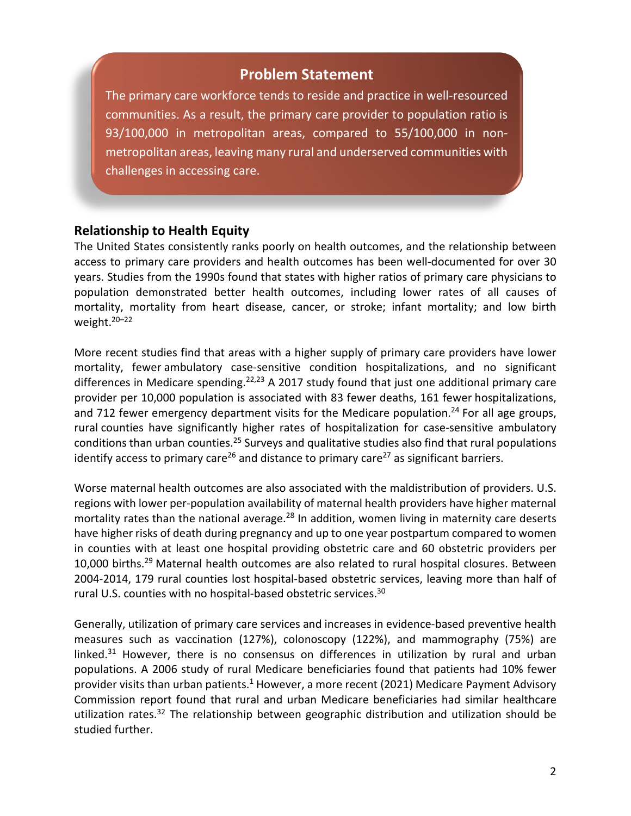## **Problem Statement**

The primary care workforce tends to reside and practice in well-resourced communities. As a result, the primary care provider to population ratio is 93/100,000 in metropolitan areas, compared to 55/100,000 in nonmetropolitan areas, leaving many rural and underserved communities with challenges in accessing care.

#### **Relationship to Health Equity**

The United States consistently ranks poorly on health outcomes, and the relationship between access to primary care providers and health outcomes has been well-documented for over 30 years. Studies from the 1990s found that states with higher ratios of primary care physicians to population demonstrated better health outcomes, including lower rates of all causes of mortality, mortality from heart disease, cancer, or stroke; infant mortality; and low birth weight.20–22

More recent studies find that areas with a higher supply of primary care providers have lower mortality, fewer ambulatory case-sensitive condition hospitalizations, and no significant differences in Medicare spending.<sup>22,23</sup> A 2017 study found that just one additional primary care provider per 10,000 population is associated with 83 fewer deaths, 161 fewer hospitalizations, and 712 fewer emergency department visits for the Medicare population.<sup>24</sup> For all age groups, rural counties have significantly higher rates of hospitalization for case-sensitive ambulatory conditions than urban counties.25 Surveys and qualitative studies also find that rural populations identify access to primary care<sup>26</sup> and distance to primary care<sup>27</sup> as significant barriers.

Worse maternal health outcomes are also associated with the maldistribution of providers. U.S. regions with lower per-population availability of maternal health providers have higher maternal mortality rates than the national average.<sup>28</sup> In addition, women living in maternity care deserts have higher risks of death during pregnancy and up to one year postpartum compared to women in counties with at least one hospital providing obstetric care and 60 obstetric providers per 10,000 births.29 Maternal health outcomes are also related to rural hospital closures. Between 2004-2014, 179 rural counties lost hospital-based obstetric services, leaving more than half of rural U.S. counties with no hospital-based obstetric services.30

Generally, utilization of primary care services and increases in evidence-based preventive health measures such as vaccination (127%), colonoscopy (122%), and mammography (75%) are linked. $31$  However, there is no consensus on differences in utilization by rural and urban populations. A 2006 study of rural Medicare beneficiaries found that patients had 10% fewer provider visits than urban patients.<sup>1</sup> However, a more recent (2021) Medicare Payment Advisory Commission report found that rural and urban Medicare beneficiaries had similar healthcare utilization rates.<sup>32</sup> The relationship between geographic distribution and utilization should be studied further.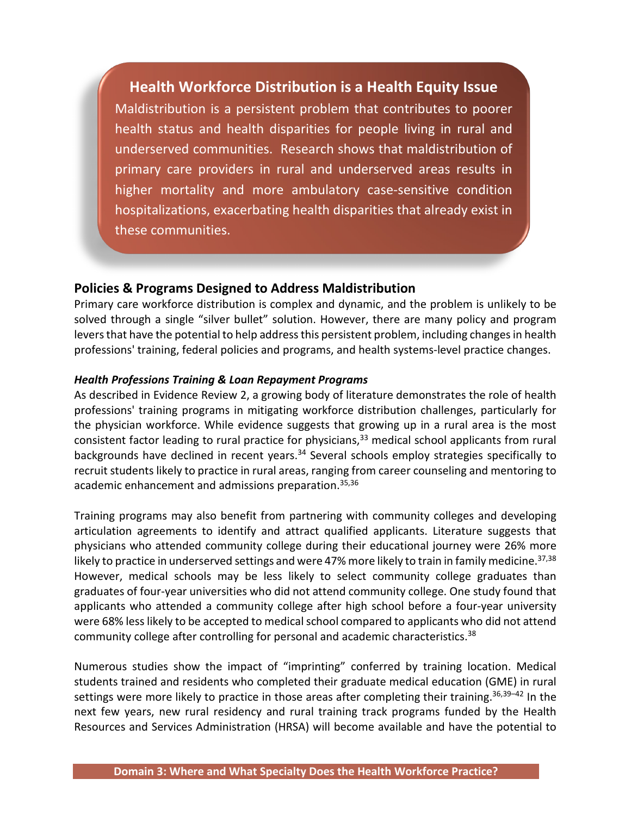# **Health Workforce Distribution is a Health Equity Issue**

Maldistribution is a persistent problem that contributes to poorer health status and health disparities for people living in rural and underserved communities. Research shows that maldistribution of primary care providers in rural and underserved areas results in higher mortality and more ambulatory case-sensitive condition hospitalizations, exacerbating health disparities that already exist in these communities.

#### **Policies & Programs Designed to Address Maldistribution**

Primary care workforce distribution is complex and dynamic, and the problem is unlikely to be solved through a single "silver bullet" solution. However, there are many policy and program levers that have the potential to help address this persistent problem, including changes in health professions' training, federal policies and programs, and health systems-level practice changes.

#### *Health Professions Training & Loan Repayment Programs*

As described in Evidence Review 2, a growing body of literature demonstrates the role of health professions' training programs in mitigating workforce distribution challenges, particularly for the physician workforce. While evidence suggests that growing up in a rural area is the most consistent factor leading to rural practice for physicians, $33$  medical school applicants from rural backgrounds have declined in recent years.<sup>34</sup> Several schools employ strategies specifically to recruit students likely to practice in rural areas, ranging from career counseling and mentoring to academic enhancement and admissions preparation.35,36

Training programs may also benefit from partnering with community colleges and developing articulation agreements to identify and attract qualified applicants. Literature suggests that physicians who attended community college during their educational journey were 26% more likely to practice in underserved settings and were 47% more likely to train in family medicine. 37,38 However, medical schools may be less likely to select community college graduates than graduates of four-year universities who did not attend community college. One study found that applicants who attended a community college after high school before a four-year university were 68% less likely to be accepted to medical school compared to applicants who did not attend community college after controlling for personal and academic characteristics.<sup>38</sup>

Numerous studies show the impact of "imprinting" conferred by training location. Medical students trained and residents who completed their graduate medical education (GME) in rural settings were more likely to practice in those areas after completing their training.<sup>36,39-42</sup> In the next few years, new rural residency and rural training track programs funded by the Health Resources and Services Administration (HRSA) will become available and have the potential to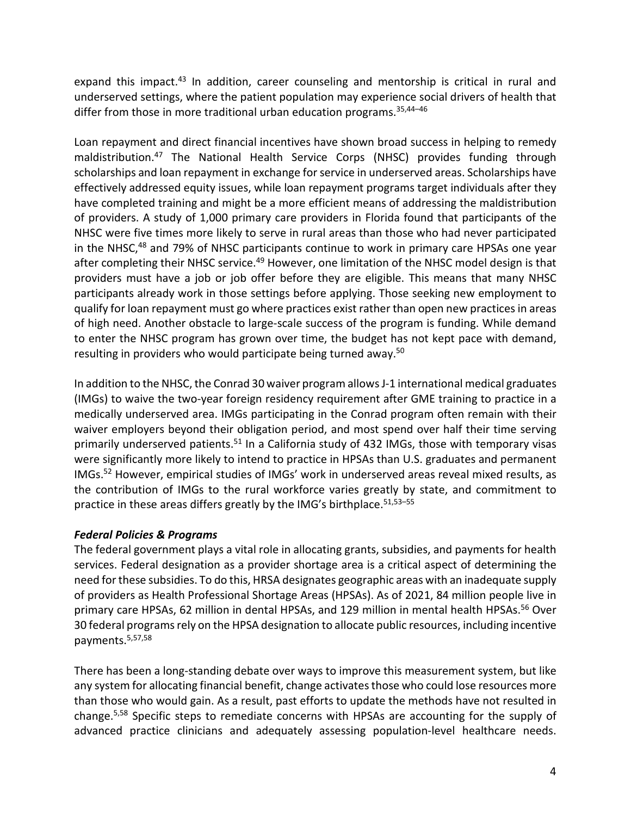expand this impact.<sup>43</sup> In addition, career counseling and mentorship is critical in rural and underserved settings, where the patient population may experience social drivers of health that differ from those in more traditional urban education programs.<sup>35,44-46</sup>

Loan repayment and direct financial incentives have shown broad success in helping to remedy maldistribution.47 The National Health Service Corps (NHSC) provides funding through scholarships and loan repayment in exchange for service in underserved areas. Scholarships have effectively addressed equity issues, while loan repayment programs target individuals after they have completed training and might be a more efficient means of addressing the maldistribution of providers. A study of 1,000 primary care providers in Florida found that participants of the NHSC were five times more likely to serve in rural areas than those who had never participated in the NHSC,<sup>48</sup> and 79% of NHSC participants continue to work in primary care HPSAs one year after completing their NHSC service.<sup>49</sup> However, one limitation of the NHSC model design is that providers must have a job or job offer before they are eligible. This means that many NHSC participants already work in those settings before applying. Those seeking new employment to qualify for loan repayment must go where practices exist rather than open new practices in areas of high need. Another obstacle to large-scale success of the program is funding. While demand to enter the NHSC program has grown over time, the budget has not kept pace with demand, resulting in providers who would participate being turned away.<sup>50</sup>

In addition to the NHSC, the Conrad 30 waiver program allows J-1 international medical graduates (IMGs) to waive the two-year foreign residency requirement after GME training to practice in a medically underserved area. IMGs participating in the Conrad program often remain with their waiver employers beyond their obligation period, and most spend over half their time serving primarily underserved patients.<sup>51</sup> In a California study of 432 IMGs, those with temporary visas were significantly more likely to intend to practice in HPSAs than U.S. graduates and permanent IMGs.52 However, empirical studies of IMGs' work in underserved areas reveal mixed results, as the contribution of IMGs to the rural workforce varies greatly by state, and commitment to practice in these areas differs greatly by the IMG's birthplace.<sup>51,53-55</sup>

#### *Federal Policies & Programs*

The federal government plays a vital role in allocating grants, subsidies, and payments for health services. Federal designation as a provider shortage area is a critical aspect of determining the need for these subsidies. To do this, HRSA designates geographic areas with an inadequate supply of providers as Health Professional Shortage Areas (HPSAs). As of 2021, 84 million people live in primary care HPSAs, 62 million in dental HPSAs, and 129 million in mental health HPSAs.<sup>56</sup> Over 30 federal programs rely on the HPSA designation to allocate public resources, including incentive payments.5,57,58

There has been a long-standing debate over ways to improve this measurement system, but like any system for allocating financial benefit, change activates those who could lose resources more than those who would gain. As a result, past efforts to update the methods have not resulted in change.5,58 Specific steps to remediate concerns with HPSAs are accounting for the supply of advanced practice clinicians and adequately assessing population-level healthcare needs.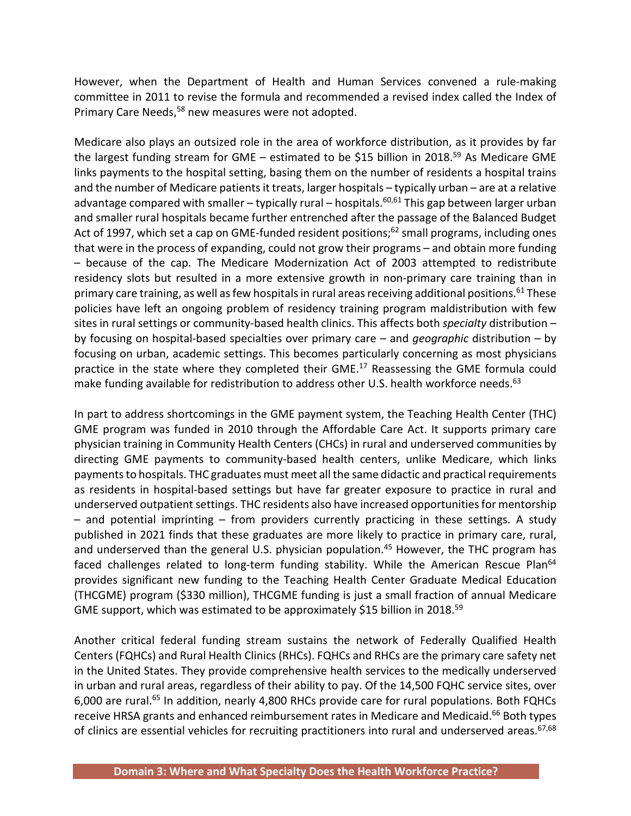However, when the Department of Health and Human Services convened a rule-making committee in 2011 to revise the formula and recommended a revised index called the Index of Primary Care Needs,<sup>58</sup> new measures were not adopted.

Medicare also plays an outsized role in the area of workforce distribution, as it provides by far the largest funding stream for GME – estimated to be \$15 billion in 2018.<sup>59</sup> As Medicare GME links payments to the hospital setting, basing them on the number of residents a hospital trains and the number of Medicare patients it treats, larger hospitals – typically urban – are at a relative advantage compared with smaller – typically rural – hospitals.<sup>60,61</sup> This gap between larger urban and smaller rural hospitals became further entrenched after the passage of the Balanced Budget Act of 1997, which set a cap on GME-funded resident positions;<sup>62</sup> small programs, including ones that were in the process of expanding, could not grow their programs – and obtain more funding – because of the cap. The Medicare Modernization Act of 2003 attempted to redistribute residency slots but resulted in a more extensive growth in non-primary care training than in primary care training, as well as few hospitals in rural areas receiving additional positions.<sup>61</sup> These policies have left an ongoing problem of residency training program maldistribution with few sites in rural settings or community-based health clinics. This affects both *specialty* distribution – by focusing on hospital-based specialties over primary care – and *geographic* distribution – by focusing on urban, academic settings. This becomes particularly concerning as most physicians practice in the state where they completed their GME. 17 Reassessing the GME formula could make funding available for redistribution to address other U.S. health workforce needs.<sup>63</sup>

In part to address shortcomings in the GME payment system, the Teaching Health Center (THC) GME program was funded in 2010 through the Affordable Care Act. It supports primary care physician training in Community Health Centers (CHCs) in rural and underserved communities by directing GME payments to community-based health centers, unlike Medicare, which links payments to hospitals. THC graduates must meet all the same didactic and practical requirements as residents in hospital-based settings but have far greater exposure to practice in rural and underserved outpatient settings. THC residents also have increased opportunities for mentorship – and potential imprinting – from providers currently practicing in these settings. A study published in 2021 finds that these graduates are more likely to practice in primary care, rural, and underserved than the general U.S. physician population.<sup>45</sup> However, the THC program has faced challenges related to long-term funding stability. While the American Rescue Plan<sup>64</sup> provides significant new funding to the Teaching Health Center Graduate Medical Education (THCGME) program (\$330 million), THCGME funding is just a small fraction of annual Medicare GME support, which was estimated to be approximately \$15 billion in 2018.<sup>59</sup>

Another critical federal funding stream sustains the network of Federally Qualified Health Centers (FQHCs) and Rural Health Clinics (RHCs). FQHCs and RHCs are the primary care safety net in the United States. They provide comprehensive health services to the medically underserved in urban and rural areas, regardless of their ability to pay. Of the 14,500 FQHC service sites, over 6,000 are rural.<sup>65</sup> In addition, nearly 4,800 RHCs provide care for rural populations. Both FQHCs receive HRSA grants and enhanced reimbursement rates in Medicare and Medicaid.<sup>66</sup> Both types of clinics are essential vehicles for recruiting practitioners into rural and underserved areas.<sup>67,68</sup>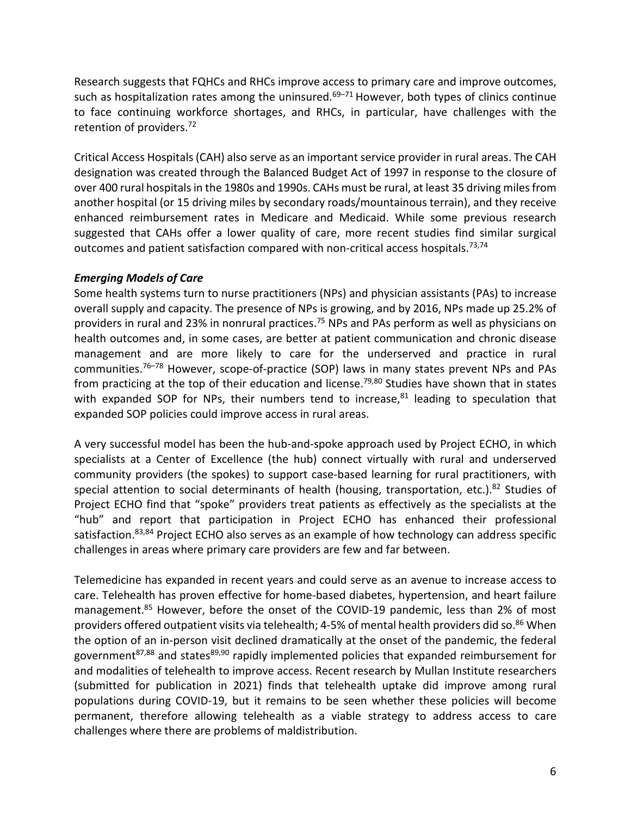Research suggests that FQHCs and RHCs improve access to primary care and improve outcomes, such as hospitalization rates among the uninsured. $69-71$  However, both types of clinics continue to face continuing workforce shortages, and RHCs, in particular, have challenges with the retention of providers.<sup>72</sup>

Critical Access Hospitals (CAH) also serve as an important service provider in rural areas. The CAH designation was created through the Balanced Budget Act of 1997 in response to the closure of over 400 rural hospitals in the 1980s and 1990s. CAHs must be rural, at least 35 driving miles from another hospital (or 15 driving miles by secondary roads/mountainous terrain), and they receive enhanced reimbursement rates in Medicare and Medicaid. While some previous research suggested that CAHs offer a lower quality of care, more recent studies find similar surgical outcomes and patient satisfaction compared with non-critical access hospitals.<sup>73,74</sup>

#### *Emerging Models of Care*

Some health systems turn to nurse practitioners (NPs) and physician assistants (PAs) to increase overall supply and capacity. The presence of NPs is growing, and by 2016, NPs made up 25.2% of providers in rural and 23% in nonrural practices.75 NPs and PAs perform as well as physicians on health outcomes and, in some cases, are better at patient communication and chronic disease management and are more likely to care for the underserved and practice in rural communities.76–78 However, scope-of-practice (SOP) laws in many states prevent NPs and PAs from practicing at the top of their education and license.<sup>79,80</sup> Studies have shown that in states with expanded SOP for NPs, their numbers tend to increase,<sup>81</sup> leading to speculation that expanded SOP policies could improve access in rural areas.

A very successful model has been the hub-and-spoke approach used by Project ECHO, in which specialists at a Center of Excellence (the hub) connect virtually with rural and underserved community providers (the spokes) to support case-based learning for rural practitioners, with special attention to social determinants of health (housing, transportation, etc.).<sup>82</sup> Studies of Project ECHO find that "spoke" providers treat patients as effectively as the specialists at the "hub" and report that participation in Project ECHO has enhanced their professional satisfaction.<sup>83,84</sup> Project ECHO also serves as an example of how technology can address specific challenges in areas where primary care providers are few and far between.

Telemedicine has expanded in recent years and could serve as an avenue to increase access to care. Telehealth has proven effective for home-based diabetes, hypertension, and heart failure management. <sup>85</sup> However, before the onset of the COVID-19 pandemic, less than 2% of most providers offered outpatient visits via telehealth; 4-5% of mental health providers did so. <sup>86</sup> When the option of an in-person visit declined dramatically at the onset of the pandemic, the federal government $87,88$  and states $89,90$  rapidly implemented policies that expanded reimbursement for and modalities of telehealth to improve access. Recent research by Mullan Institute researchers (submitted for publication in 2021) finds that telehealth uptake did improve among rural populations during COVID-19, but it remains to be seen whether these policies will become permanent, therefore allowing telehealth as a viable strategy to address access to care challenges where there are problems of maldistribution.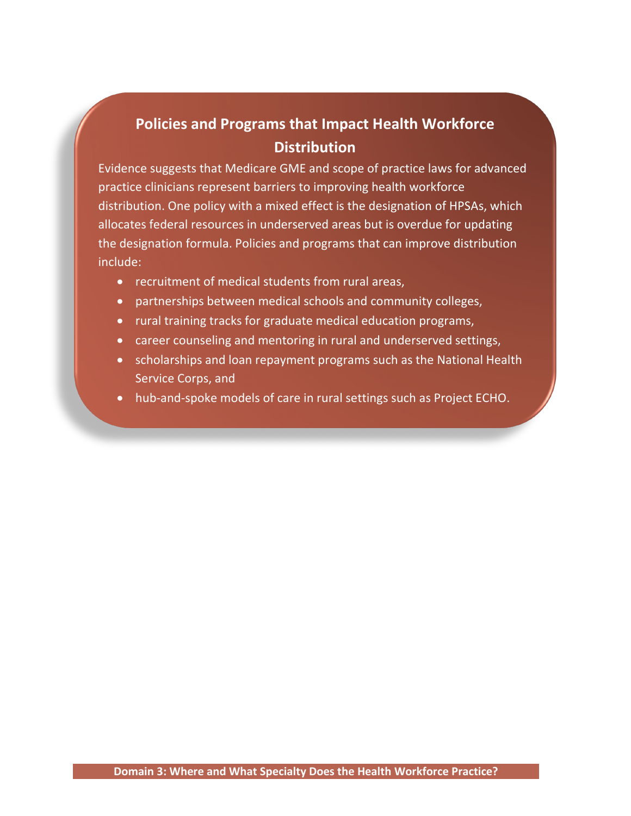# **Policies and Programs that Impact Health Workforce Distribution**

Evidence suggests that Medicare GME and scope of practice laws for advanced practice clinicians represent barriers to improving health workforce distribution. One policy with a mixed effect is the designation of HPSAs, which allocates federal resources in underserved areas but is overdue for updating the designation formula. Policies and programs that can improve distribution include:

- recruitment of medical students from rural areas,
- partnerships between medical schools and community colleges,
- rural training tracks for graduate medical education programs,
- career counseling and mentoring in rural and underserved settings,
- scholarships and loan repayment programs such as the National Health Service Corps, and
- hub-and-spoke models of care in rural settings such as Project ECHO.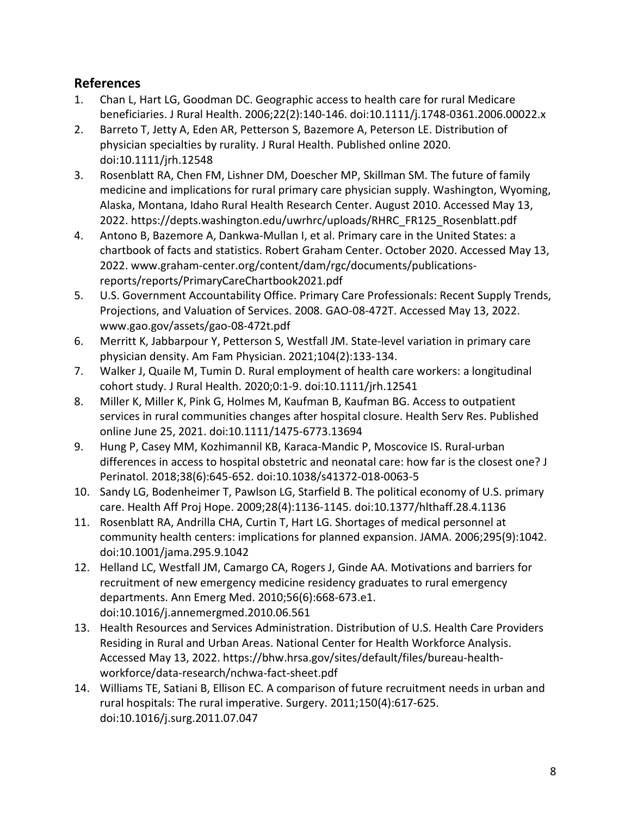### **References**

- 1. Chan L, Hart LG, Goodman DC. Geographic access to health care for rural Medicare beneficiaries. J Rural Health. 2006;22(2):140-146. doi:10.1111/j.1748-0361.2006.00022.x
- 2. Barreto T, Jetty A, Eden AR, Petterson S, Bazemore A, Peterson LE. Distribution of physician specialties by rurality. J Rural Health. Published online 2020. doi:10.1111/jrh.12548
- 3. Rosenblatt RA, Chen FM, Lishner DM, Doescher MP, Skillman SM. The future of family medicine and implications for rural primary care physician supply. Washington, Wyoming, Alaska, Montana, Idaho Rural Health Research Center. August 2010. Accessed May 13, 2022. https://depts.washington.edu/uwrhrc/uploads/RHRC\_FR125\_Rosenblatt.pdf
- 4. Antono B, Bazemore A, Dankwa-Mullan I, et al. Primary care in the United States: a chartbook of facts and statistics. Robert Graham Center. October 2020. Accessed May 13, 2022. www.graham-center.org/content/dam/rgc/documents/publicationsreports/reports/PrimaryCareChartbook2021.pdf
- 5. U.S. Government Accountability Office. Primary Care Professionals: Recent Supply Trends, Projections, and Valuation of Services. 2008. GAO-08-472T. Accessed May 13, 2022. www.gao.gov/assets/gao-08-472t.pdf
- 6. Merritt K, Jabbarpour Y, Petterson S, Westfall JM. State-level variation in primary care physician density. Am Fam Physician. 2021;104(2):133-134.
- 7. Walker J, Quaile M, Tumin D. Rural employment of health care workers: a longitudinal cohort study. J Rural Health. 2020;0:1-9. doi:10.1111/jrh.12541
- 8. Miller K, Miller K, Pink G, Holmes M, Kaufman B, Kaufman BG. Access to outpatient services in rural communities changes after hospital closure. Health Serv Res. Published online June 25, 2021. doi:10.1111/1475-6773.13694
- 9. Hung P, Casey MM, Kozhimannil KB, Karaca-Mandic P, Moscovice IS. Rural-urban differences in access to hospital obstetric and neonatal care: how far is the closest one? J Perinatol. 2018;38(6):645-652. doi:10.1038/s41372-018-0063-5
- 10. Sandy LG, Bodenheimer T, Pawlson LG, Starfield B. The political economy of U.S. primary care. Health Aff Proj Hope. 2009;28(4):1136-1145. doi:10.1377/hlthaff.28.4.1136
- 11. Rosenblatt RA, Andrilla CHA, Curtin T, Hart LG. Shortages of medical personnel at community health centers: implications for planned expansion. JAMA. 2006;295(9):1042. doi:10.1001/jama.295.9.1042
- 12. Helland LC, Westfall JM, Camargo CA, Rogers J, Ginde AA. Motivations and barriers for recruitment of new emergency medicine residency graduates to rural emergency departments. Ann Emerg Med. 2010;56(6):668-673.e1. doi:10.1016/j.annemergmed.2010.06.561
- 13. Health Resources and Services Administration. Distribution of U.S. Health Care Providers Residing in Rural and Urban Areas. National Center for Health Workforce Analysis. Accessed May 13, 2022. https://bhw.hrsa.gov/sites/default/files/bureau-healthworkforce/data-research/nchwa-fact-sheet.pdf
- 14. Williams TE, Satiani B, Ellison EC. A comparison of future recruitment needs in urban and rural hospitals: The rural imperative. Surgery. 2011;150(4):617-625. doi:10.1016/j.surg.2011.07.047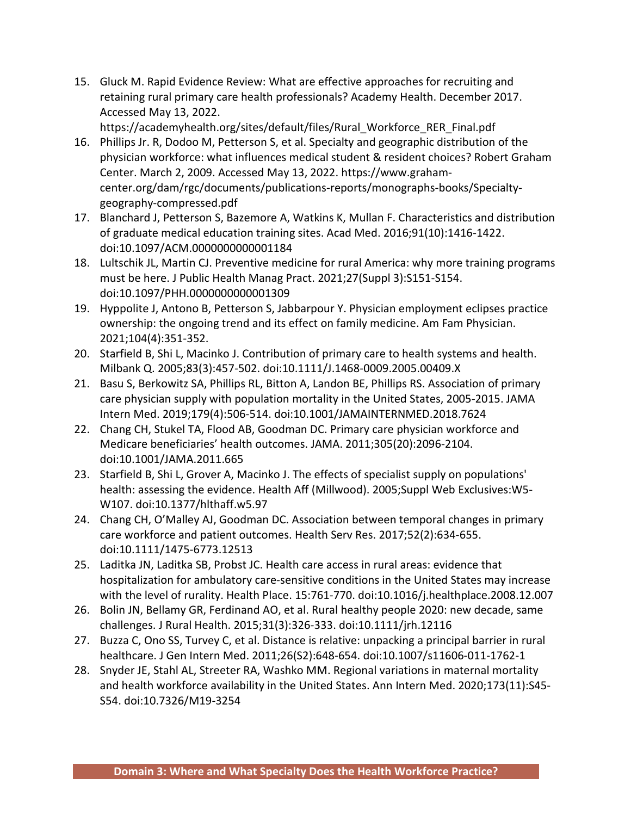15. Gluck M. Rapid Evidence Review: What are effective approaches for recruiting and retaining rural primary care health professionals? Academy Health. December 2017. Accessed May 13, 2022.

https://academyhealth.org/sites/default/files/Rural\_Workforce\_RER\_Final.pdf 16. Phillips Jr. R, Dodoo M, Petterson S, et al. Specialty and geographic distribution of the physician workforce: what influences medical student & resident choices? Robert Graham Center. March 2, 2009. Accessed May 13, 2022. https://www.grahamcenter.org/dam/rgc/documents/publications-reports/monographs-books/Specialtygeography-compressed.pdf

- 17. Blanchard J, Petterson S, Bazemore A, Watkins K, Mullan F. Characteristics and distribution of graduate medical education training sites. Acad Med. 2016;91(10):1416-1422. doi:10.1097/ACM.0000000000001184
- 18. Lultschik JL, Martin CJ. Preventive medicine for rural America: why more training programs must be here. J Public Health Manag Pract. 2021;27(Suppl 3):S151-S154. doi:10.1097/PHH.0000000000001309
- 19. Hyppolite J, Antono B, Petterson S, Jabbarpour Y. Physician employment eclipses practice ownership: the ongoing trend and its effect on family medicine. Am Fam Physician. 2021;104(4):351-352.
- 20. Starfield B, Shi L, Macinko J. Contribution of primary care to health systems and health. Milbank Q. 2005;83(3):457-502. doi:10.1111/J.1468-0009.2005.00409.X
- 21. Basu S, Berkowitz SA, Phillips RL, Bitton A, Landon BE, Phillips RS. Association of primary care physician supply with population mortality in the United States, 2005-2015. JAMA Intern Med. 2019;179(4):506-514. doi:10.1001/JAMAINTERNMED.2018.7624
- 22. Chang CH, Stukel TA, Flood AB, Goodman DC. Primary care physician workforce and Medicare beneficiaries' health outcomes. JAMA. 2011;305(20):2096-2104. doi:10.1001/JAMA.2011.665
- 23. Starfield B, Shi L, Grover A, Macinko J. The effects of specialist supply on populations' health: assessing the evidence. Health Aff (Millwood). 2005;Suppl Web Exclusives:W5- W107. doi:10.1377/hlthaff.w5.97
- 24. Chang CH, O'Malley AJ, Goodman DC. Association between temporal changes in primary care workforce and patient outcomes. Health Serv Res. 2017;52(2):634-655. doi:10.1111/1475-6773.12513
- 25. Laditka JN, Laditka SB, Probst JC. Health care access in rural areas: evidence that hospitalization for ambulatory care-sensitive conditions in the United States may increase with the level of rurality. Health Place. 15:761-770. doi:10.1016/j.healthplace.2008.12.007
- 26. Bolin JN, Bellamy GR, Ferdinand AO, et al. Rural healthy people 2020: new decade, same challenges. J Rural Health. 2015;31(3):326-333. doi:10.1111/jrh.12116
- 27. Buzza C, Ono SS, Turvey C, et al. Distance is relative: unpacking a principal barrier in rural healthcare. J Gen Intern Med. 2011;26(S2):648-654. doi:10.1007/s11606-011-1762-1
- 28. Snyder JE, Stahl AL, Streeter RA, Washko MM. Regional variations in maternal mortality and health workforce availability in the United States. Ann Intern Med. 2020;173(11):S45- S54. doi:10.7326/M19-3254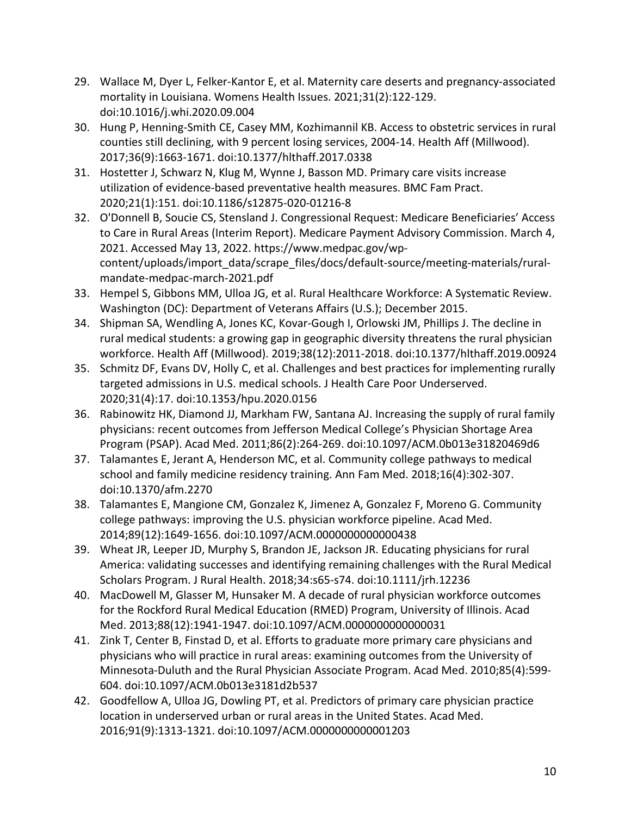- 29. Wallace M, Dyer L, Felker-Kantor E, et al. Maternity care deserts and pregnancy-associated mortality in Louisiana. Womens Health Issues. 2021;31(2):122-129. doi:10.1016/j.whi.2020.09.004
- 30. Hung P, Henning-Smith CE, Casey MM, Kozhimannil KB. Access to obstetric services in rural counties still declining, with 9 percent losing services, 2004-14. Health Aff (Millwood). 2017;36(9):1663-1671. doi:10.1377/hlthaff.2017.0338
- 31. Hostetter J, Schwarz N, Klug M, Wynne J, Basson MD. Primary care visits increase utilization of evidence-based preventative health measures. BMC Fam Pract. 2020;21(1):151. doi:10.1186/s12875-020-01216-8
- 32. O'Donnell B, Soucie CS, Stensland J. Congressional Request: Medicare Beneficiaries' Access to Care in Rural Areas (Interim Report). Medicare Payment Advisory Commission. March 4, 2021. Accessed May 13, 2022. https://www.medpac.gov/wpcontent/uploads/import\_data/scrape\_files/docs/default-source/meeting-materials/ruralmandate-medpac-march-2021.pdf
- 33. Hempel S, Gibbons MM, Ulloa JG, et al. Rural Healthcare Workforce: A Systematic Review. Washington (DC): Department of Veterans Affairs (U.S.); December 2015.
- 34. Shipman SA, Wendling A, Jones KC, Kovar-Gough I, Orlowski JM, Phillips J. The decline in rural medical students: a growing gap in geographic diversity threatens the rural physician workforce. Health Aff (Millwood). 2019;38(12):2011-2018. doi:10.1377/hlthaff.2019.00924
- 35. Schmitz DF, Evans DV, Holly C, et al. Challenges and best practices for implementing rurally targeted admissions in U.S. medical schools. J Health Care Poor Underserved. 2020;31(4):17. doi:10.1353/hpu.2020.0156
- 36. Rabinowitz HK, Diamond JJ, Markham FW, Santana AJ. Increasing the supply of rural family physicians: recent outcomes from Jefferson Medical College's Physician Shortage Area Program (PSAP). Acad Med. 2011;86(2):264-269. doi:10.1097/ACM.0b013e31820469d6
- 37. Talamantes E, Jerant A, Henderson MC, et al. Community college pathways to medical school and family medicine residency training. Ann Fam Med. 2018;16(4):302-307. doi:10.1370/afm.2270
- 38. Talamantes E, Mangione CM, Gonzalez K, Jimenez A, Gonzalez F, Moreno G. Community college pathways: improving the U.S. physician workforce pipeline. Acad Med. 2014;89(12):1649-1656. doi:10.1097/ACM.0000000000000438
- 39. Wheat JR, Leeper JD, Murphy S, Brandon JE, Jackson JR. Educating physicians for rural America: validating successes and identifying remaining challenges with the Rural Medical Scholars Program. J Rural Health. 2018;34:s65-s74. doi:10.1111/jrh.12236
- 40. MacDowell M, Glasser M, Hunsaker M. A decade of rural physician workforce outcomes for the Rockford Rural Medical Education (RMED) Program, University of Illinois. Acad Med. 2013;88(12):1941-1947. doi:10.1097/ACM.0000000000000031
- 41. Zink T, Center B, Finstad D, et al. Efforts to graduate more primary care physicians and physicians who will practice in rural areas: examining outcomes from the University of Minnesota-Duluth and the Rural Physician Associate Program. Acad Med. 2010;85(4):599- 604. doi:10.1097/ACM.0b013e3181d2b537
- 42. Goodfellow A, Ulloa JG, Dowling PT, et al. Predictors of primary care physician practice location in underserved urban or rural areas in the United States. Acad Med. 2016;91(9):1313-1321. doi:10.1097/ACM.0000000000001203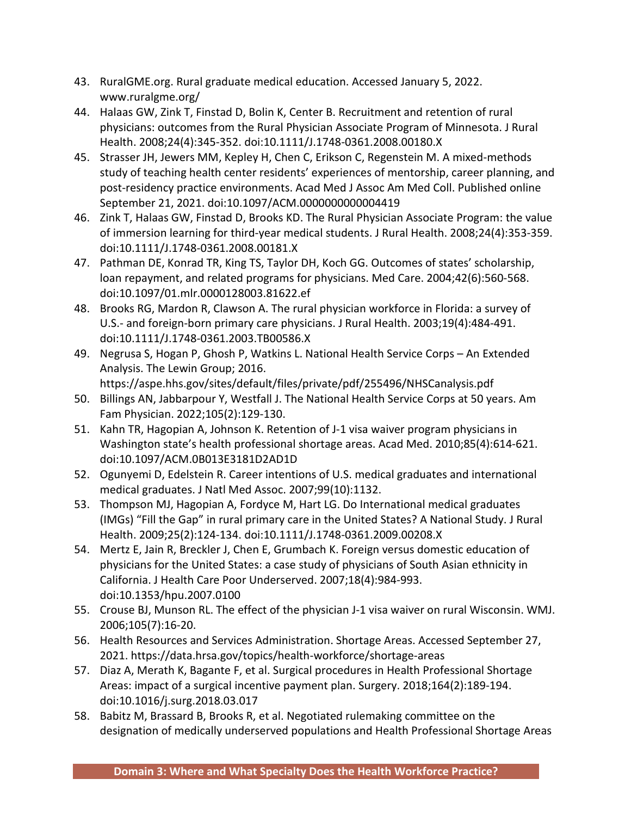- 43. RuralGME.org. Rural graduate medical education. Accessed January 5, 2022. www.ruralgme.org/
- 44. Halaas GW, Zink T, Finstad D, Bolin K, Center B. Recruitment and retention of rural physicians: outcomes from the Rural Physician Associate Program of Minnesota. J Rural Health. 2008;24(4):345-352. doi:10.1111/J.1748-0361.2008.00180.X
- 45. Strasser JH, Jewers MM, Kepley H, Chen C, Erikson C, Regenstein M. A mixed-methods study of teaching health center residents' experiences of mentorship, career planning, and post-residency practice environments. Acad Med J Assoc Am Med Coll. Published online September 21, 2021. doi:10.1097/ACM.0000000000004419
- 46. Zink T, Halaas GW, Finstad D, Brooks KD. The Rural Physician Associate Program: the value of immersion learning for third-year medical students. J Rural Health. 2008;24(4):353-359. doi:10.1111/J.1748-0361.2008.00181.X
- 47. Pathman DE, Konrad TR, King TS, Taylor DH, Koch GG. Outcomes of states' scholarship, loan repayment, and related programs for physicians. Med Care. 2004;42(6):560-568. doi:10.1097/01.mlr.0000128003.81622.ef
- 48. Brooks RG, Mardon R, Clawson A. The rural physician workforce in Florida: a survey of U.S.- and foreign-born primary care physicians. J Rural Health. 2003;19(4):484-491. doi:10.1111/J.1748-0361.2003.TB00586.X
- 49. Negrusa S, Hogan P, Ghosh P, Watkins L. National Health Service Corps An Extended Analysis. The Lewin Group; 2016.

https://aspe.hhs.gov/sites/default/files/private/pdf/255496/NHSCanalysis.pdf

- 50. Billings AN, Jabbarpour Y, Westfall J. The National Health Service Corps at 50 years. Am Fam Physician. 2022;105(2):129-130.
- 51. Kahn TR, Hagopian A, Johnson K. Retention of J-1 visa waiver program physicians in Washington state's health professional shortage areas. Acad Med. 2010;85(4):614-621. doi:10.1097/ACM.0B013E3181D2AD1D
- 52. Ogunyemi D, Edelstein R. Career intentions of U.S. medical graduates and international medical graduates. J Natl Med Assoc. 2007;99(10):1132.
- 53. Thompson MJ, Hagopian A, Fordyce M, Hart LG. Do International medical graduates (IMGs) "Fill the Gap" in rural primary care in the United States? A National Study. J Rural Health. 2009;25(2):124-134. doi:10.1111/J.1748-0361.2009.00208.X
- 54. Mertz E, Jain R, Breckler J, Chen E, Grumbach K. Foreign versus domestic education of physicians for the United States: a case study of physicians of South Asian ethnicity in California. J Health Care Poor Underserved. 2007;18(4):984-993. doi:10.1353/hpu.2007.0100
- 55. Crouse BJ, Munson RL. The effect of the physician J-1 visa waiver on rural Wisconsin. WMJ. 2006;105(7):16-20.
- 56. Health Resources and Services Administration. Shortage Areas. Accessed September 27, 2021. https://data.hrsa.gov/topics/health-workforce/shortage-areas
- 57. Diaz A, Merath K, Bagante F, et al. Surgical procedures in Health Professional Shortage Areas: impact of a surgical incentive payment plan. Surgery. 2018;164(2):189-194. doi:10.1016/j.surg.2018.03.017
- 58. Babitz M, Brassard B, Brooks R, et al. Negotiated rulemaking committee on the designation of medically underserved populations and Health Professional Shortage Areas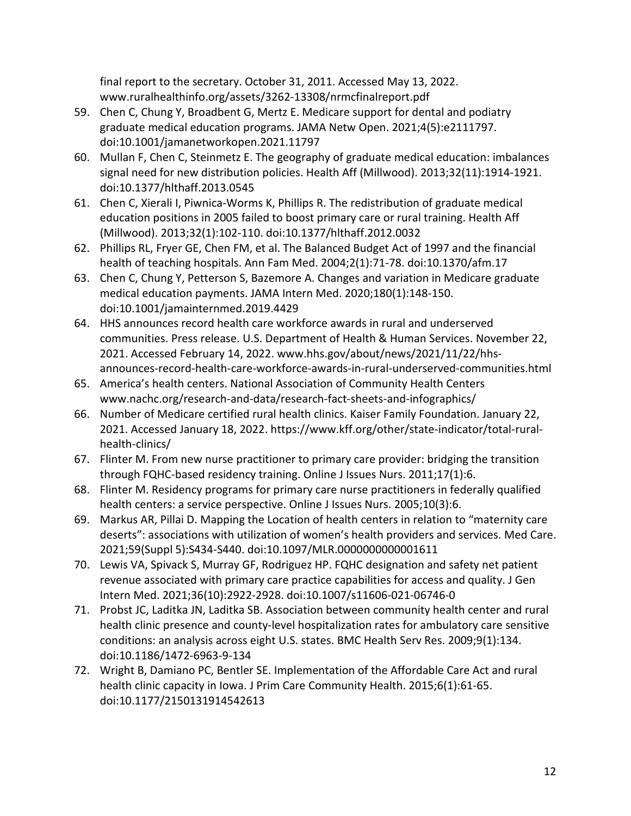final report to the secretary. October 31, 2011. Accessed May 13, 2022. www.ruralhealthinfo.org/assets/3262-13308/nrmcfinalreport.pdf

- 59. Chen C, Chung Y, Broadbent G, Mertz E. Medicare support for dental and podiatry graduate medical education programs. JAMA Netw Open. 2021;4(5):e2111797. doi:10.1001/jamanetworkopen.2021.11797
- 60. Mullan F, Chen C, Steinmetz E. The geography of graduate medical education: imbalances signal need for new distribution policies. Health Aff (Millwood). 2013;32(11):1914-1921. doi:10.1377/hlthaff.2013.0545
- 61. Chen C, Xierali I, Piwnica-Worms K, Phillips R. The redistribution of graduate medical education positions in 2005 failed to boost primary care or rural training. Health Aff (Millwood). 2013;32(1):102-110. doi:10.1377/hlthaff.2012.0032
- 62. Phillips RL, Fryer GE, Chen FM, et al. The Balanced Budget Act of 1997 and the financial health of teaching hospitals. Ann Fam Med. 2004;2(1):71-78. doi:10.1370/afm.17
- 63. Chen C, Chung Y, Petterson S, Bazemore A. Changes and variation in Medicare graduate medical education payments. JAMA Intern Med. 2020;180(1):148-150. doi:10.1001/jamainternmed.2019.4429
- 64. HHS announces record health care workforce awards in rural and underserved communities. Press release. U.S. Department of Health & Human Services. November 22, 2021. Accessed February 14, 2022. www.hhs.gov/about/news/2021/11/22/hhsannounces-record-health-care-workforce-awards-in-rural-underserved-communities.html
- 65. America's health centers. National Association of Community Health Centers www.nachc.org/research-and-data/research-fact-sheets-and-infographics/
- 66. Number of Medicare certified rural health clinics. Kaiser Family Foundation. January 22, 2021. Accessed January 18, 2022. https://www.kff.org/other/state-indicator/total-ruralhealth-clinics/
- 67. Flinter M. From new nurse practitioner to primary care provider: bridging the transition through FQHC-based residency training. Online J Issues Nurs. 2011;17(1):6.
- 68. Flinter M. Residency programs for primary care nurse practitioners in federally qualified health centers: a service perspective. Online J Issues Nurs. 2005;10(3):6.
- 69. Markus AR, Pillai D. Mapping the Location of health centers in relation to "maternity care deserts": associations with utilization of women's health providers and services. Med Care. 2021;59(Suppl 5):S434-S440. doi:10.1097/MLR.0000000000001611
- 70. Lewis VA, Spivack S, Murray GF, Rodriguez HP. FQHC designation and safety net patient revenue associated with primary care practice capabilities for access and quality. J Gen Intern Med. 2021;36(10):2922-2928. doi:10.1007/s11606-021-06746-0
- 71. Probst JC, Laditka JN, Laditka SB. Association between community health center and rural health clinic presence and county-level hospitalization rates for ambulatory care sensitive conditions: an analysis across eight U.S. states. BMC Health Serv Res. 2009;9(1):134. doi:10.1186/1472-6963-9-134
- 72. Wright B, Damiano PC, Bentler SE. Implementation of the Affordable Care Act and rural health clinic capacity in Iowa. J Prim Care Community Health. 2015;6(1):61-65. doi:10.1177/2150131914542613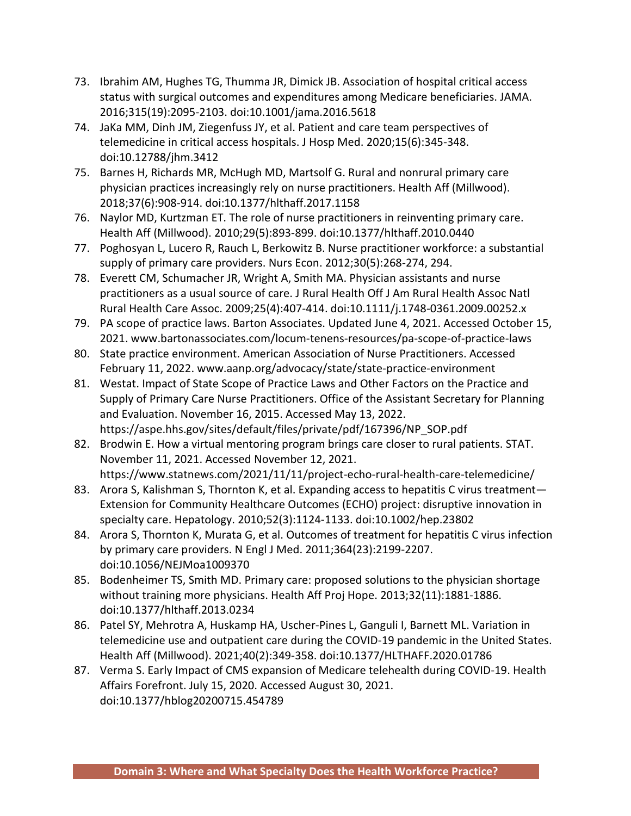- 73. Ibrahim AM, Hughes TG, Thumma JR, Dimick JB. Association of hospital critical access status with surgical outcomes and expenditures among Medicare beneficiaries. JAMA. 2016;315(19):2095-2103. doi:10.1001/jama.2016.5618
- 74. JaKa MM, Dinh JM, Ziegenfuss JY, et al. Patient and care team perspectives of telemedicine in critical access hospitals. J Hosp Med. 2020;15(6):345-348. doi:10.12788/jhm.3412
- 75. Barnes H, Richards MR, McHugh MD, Martsolf G. Rural and nonrural primary care physician practices increasingly rely on nurse practitioners. Health Aff (Millwood). 2018;37(6):908-914. doi:10.1377/hlthaff.2017.1158
- 76. Naylor MD, Kurtzman ET. The role of nurse practitioners in reinventing primary care. Health Aff (Millwood). 2010;29(5):893-899. doi:10.1377/hlthaff.2010.0440
- 77. Poghosyan L, Lucero R, Rauch L, Berkowitz B. Nurse practitioner workforce: a substantial supply of primary care providers. Nurs Econ. 2012;30(5):268-274, 294.
- 78. Everett CM, Schumacher JR, Wright A, Smith MA. Physician assistants and nurse practitioners as a usual source of care. J Rural Health Off J Am Rural Health Assoc Natl Rural Health Care Assoc. 2009;25(4):407-414. doi:10.1111/j.1748-0361.2009.00252.x
- 79. PA scope of practice laws. Barton Associates. Updated June 4, 2021. Accessed October 15, 2021. www.bartonassociates.com/locum-tenens-resources/pa-scope-of-practice-laws
- 80. State practice environment. American Association of Nurse Practitioners. Accessed February 11, 2022. www.aanp.org/advocacy/state/state-practice-environment
- 81. Westat. Impact of State Scope of Practice Laws and Other Factors on the Practice and Supply of Primary Care Nurse Practitioners. Office of the Assistant Secretary for Planning and Evaluation. November 16, 2015. Accessed May 13, 2022. https://aspe.hhs.gov/sites/default/files/private/pdf/167396/NP\_SOP.pdf
- 82. Brodwin E. How a virtual mentoring program brings care closer to rural patients. STAT. November 11, 2021. Accessed November 12, 2021. https://www.statnews.com/2021/11/11/project-echo-rural-health-care-telemedicine/
- 83. Arora S, Kalishman S, Thornton K, et al. Expanding access to hepatitis C virus treatment— Extension for Community Healthcare Outcomes (ECHO) project: disruptive innovation in specialty care. Hepatology. 2010;52(3):1124-1133. doi:10.1002/hep.23802
- 84. Arora S, Thornton K, Murata G, et al. Outcomes of treatment for hepatitis C virus infection by primary care providers. N Engl J Med. 2011;364(23):2199-2207. doi:10.1056/NEJMoa1009370
- 85. Bodenheimer TS, Smith MD. Primary care: proposed solutions to the physician shortage without training more physicians. Health Aff Proj Hope. 2013;32(11):1881-1886. doi:10.1377/hlthaff.2013.0234
- 86. Patel SY, Mehrotra A, Huskamp HA, Uscher-Pines L, Ganguli I, Barnett ML. Variation in telemedicine use and outpatient care during the COVID-19 pandemic in the United States. Health Aff (Millwood). 2021;40(2):349-358. doi:10.1377/HLTHAFF.2020.01786
- 87. Verma S. Early Impact of CMS expansion of Medicare telehealth during COVID-19. Health Affairs Forefront. July 15, 2020. Accessed August 30, 2021. doi:10.1377/hblog20200715.454789